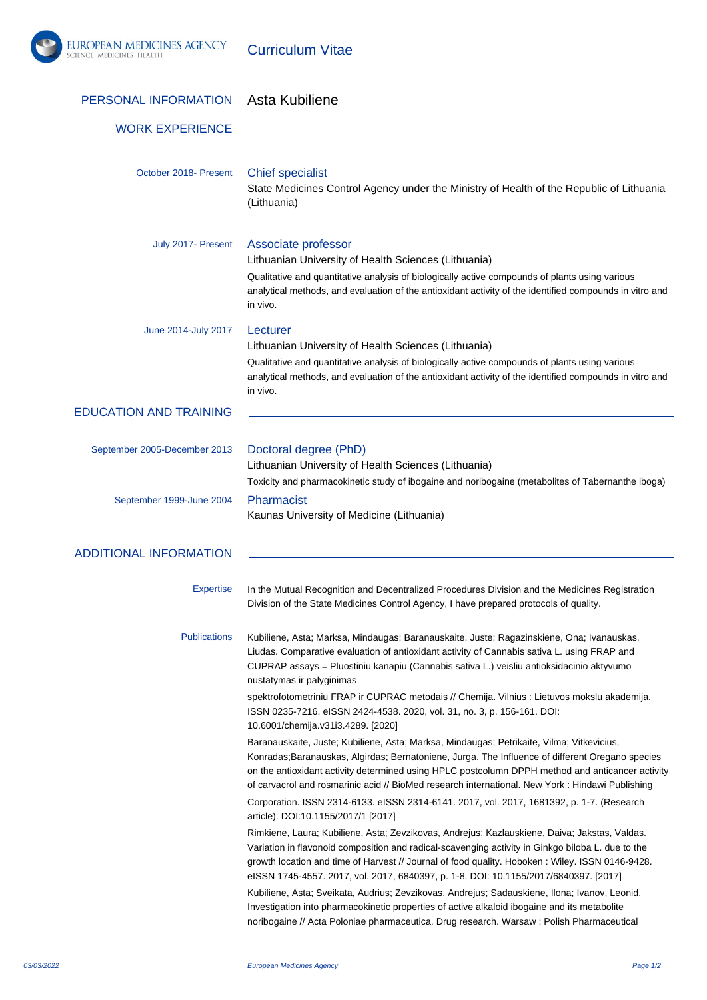

Curriculum Vitae

| PERSONAL INFORMATION          | Asta Kubiliene                                                                                                                                                                                                                                                                                                                                                                                                                                                                                                                     |
|-------------------------------|------------------------------------------------------------------------------------------------------------------------------------------------------------------------------------------------------------------------------------------------------------------------------------------------------------------------------------------------------------------------------------------------------------------------------------------------------------------------------------------------------------------------------------|
| <b>WORK EXPERIENCE</b>        |                                                                                                                                                                                                                                                                                                                                                                                                                                                                                                                                    |
| October 2018- Present         | <b>Chief specialist</b><br>State Medicines Control Agency under the Ministry of Health of the Republic of Lithuania<br>(Lithuania)                                                                                                                                                                                                                                                                                                                                                                                                 |
| July 2017- Present            | Associate professor<br>Lithuanian University of Health Sciences (Lithuania)<br>Qualitative and quantitative analysis of biologically active compounds of plants using various<br>analytical methods, and evaluation of the antioxidant activity of the identified compounds in vitro and<br>in vivo.                                                                                                                                                                                                                               |
| June 2014-July 2017           | Lecturer<br>Lithuanian University of Health Sciences (Lithuania)<br>Qualitative and quantitative analysis of biologically active compounds of plants using various<br>analytical methods, and evaluation of the antioxidant activity of the identified compounds in vitro and<br>in vivo.                                                                                                                                                                                                                                          |
| <b>EDUCATION AND TRAINING</b> |                                                                                                                                                                                                                                                                                                                                                                                                                                                                                                                                    |
| September 2005-December 2013  | Doctoral degree (PhD)<br>Lithuanian University of Health Sciences (Lithuania)<br>Toxicity and pharmacokinetic study of ibogaine and noribogaine (metabolites of Tabernanthe iboga)                                                                                                                                                                                                                                                                                                                                                 |
| September 1999-June 2004      | Pharmacist<br>Kaunas University of Medicine (Lithuania)                                                                                                                                                                                                                                                                                                                                                                                                                                                                            |
| <b>ADDITIONAL INFORMATION</b> |                                                                                                                                                                                                                                                                                                                                                                                                                                                                                                                                    |
| <b>Expertise</b>              | In the Mutual Recognition and Decentralized Procedures Division and the Medicines Registration<br>Division of the State Medicines Control Agency, I have prepared protocols of quality.                                                                                                                                                                                                                                                                                                                                            |
| <b>Publications</b>           | Kubiliene, Asta; Marksa, Mindaugas; Baranauskaite, Juste; Ragazinskiene, Ona; Ivanauskas,<br>Liudas. Comparative evaluation of antioxidant activity of Cannabis sativa L. using FRAP and<br>CUPRAP assays = Pluostiniu kanapiu (Cannabis sativa L.) veisliu antioksidacinio aktyvumo<br>nustatymas ir palyginimas<br>spektrofotometriniu FRAP ir CUPRAC metodais // Chemija. Vilnius : Lietuvos mokslu akademija.<br>ISSN 0235-7216. eISSN 2424-4538. 2020, vol. 31, no. 3, p. 156-161. DOI:<br>10.6001/chemija.v31i3.4289. [2020] |
|                               | Baranauskaite, Juste; Kubiliene, Asta; Marksa, Mindaugas; Petrikaite, Vilma; Vitkevicius,<br>Konradas; Baranauskas, Algirdas; Bernatoniene, Jurga. The Influence of different Oregano species<br>on the antioxidant activity determined using HPLC postcolumn DPPH method and anticancer activity<br>of carvacrol and rosmarinic acid // BioMed research international. New York : Hindawi Publishing                                                                                                                              |
|                               | Corporation. ISSN 2314-6133. eISSN 2314-6141. 2017, vol. 2017, 1681392, p. 1-7. (Research<br>article). DOI:10.1155/2017/1 [2017]                                                                                                                                                                                                                                                                                                                                                                                                   |
|                               | Rimkiene, Laura; Kubiliene, Asta; Zevzikovas, Andrejus; Kazlauskiene, Daiva; Jakstas, Valdas.<br>Variation in flavonoid composition and radical-scavenging activity in Ginkgo biloba L. due to the<br>growth location and time of Harvest // Journal of food quality. Hoboken: Wiley. ISSN 0146-9428.<br>elSSN 1745-4557. 2017, vol. 2017, 6840397, p. 1-8. DOI: 10.1155/2017/6840397. [2017]                                                                                                                                      |
|                               | Kubiliene, Asta; Sveikata, Audrius; Zevzikovas, Andrejus; Sadauskiene, Ilona; Ivanov, Leonid.<br>Investigation into pharmacokinetic properties of active alkaloid ibogaine and its metabolite<br>noribogaine // Acta Poloniae pharmaceutica. Drug research. Warsaw: Polish Pharmaceutical                                                                                                                                                                                                                                          |